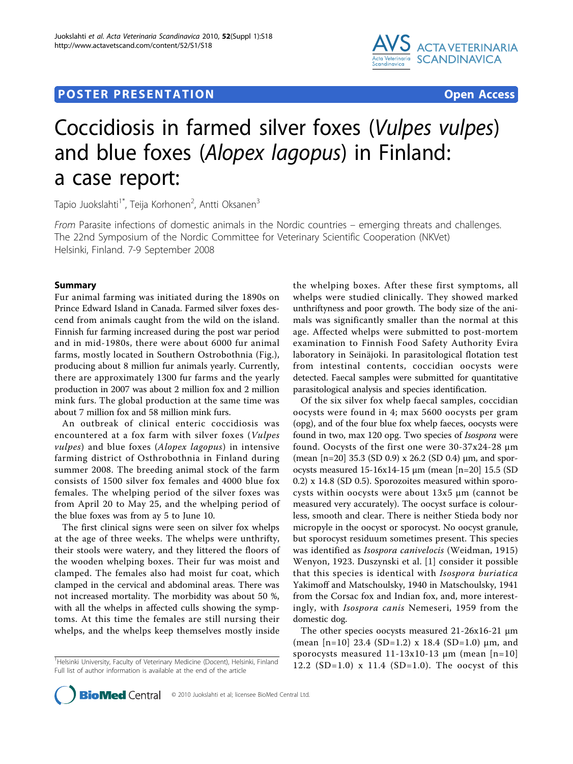



# Coccidiosis in farmed silver foxes (Vulpes vulpes) and blue foxes (Alopex lagopus) in Finland: a case report:

Tapio Juokslahti<sup>1\*</sup>, Teija Korhonen<sup>2</sup>, Antti Oksanen<sup>3</sup>

From Parasite infections of domestic animals in the Nordic countries – emerging threats and challenges. The 22nd Symposium of the Nordic Committee for Veterinary Scientific Cooperation (NKVet) Helsinki, Finland. 7-9 September 2008

## Summary

Fur animal farming was initiated during the 1890s on Prince Edward Island in Canada. Farmed silver foxes descend from animals caught from the wild on the island. Finnish fur farming increased during the post war period and in mid-1980s, there were about 6000 fur animal farms, mostly located in Southern Ostrobothnia (Fig.), producing about 8 million fur animals yearly. Currently, there are approximately 1300 fur farms and the yearly production in 2007 was about 2 million fox and 2 million mink furs. The global production at the same time was about 7 million fox and 58 million mink furs.

An outbreak of clinical enteric coccidiosis was encountered at a fox farm with silver foxes (Vulpes vulpes) and blue foxes (Alopex lagopus) in intensive farming district of Osthrobothnia in Finland during summer 2008. The breeding animal stock of the farm consists of 1500 silver fox females and 4000 blue fox females. The whelping period of the silver foxes was from April 20 to May 25, and the whelping period of the blue foxes was from ay 5 to June 10.

The first clinical signs were seen on silver fox whelps at the age of three weeks. The whelps were unthrifty, their stools were watery, and they littered the floors of the wooden whelping boxes. Their fur was moist and clamped. The females also had moist fur coat, which clamped in the cervical and abdominal areas. There was not increased mortality. The morbidity was about 50 %, with all the whelps in affected culls showing the symptoms. At this time the females are still nursing their whelps, and the whelps keep themselves mostly inside

<sup>1</sup>Helsinki University, Faculty of Veterinary Medicine (Docent), Helsinki, Finland Full list of author information is available at the end of the article

the whelping boxes. After these first symptoms, all whelps were studied clinically. They showed marked unthriftyness and poor growth. The body size of the animals was significantly smaller than the normal at this age. Affected whelps were submitted to post-mortem examination to Finnish Food Safety Authority Evira laboratory in Seinäjoki. In parasitological flotation test from intestinal contents, coccidian oocysts were detected. Faecal samples were submitted for quantitative parasitological analysis and species identification.

Of the six silver fox whelp faecal samples, coccidian oocysts were found in 4; max 5600 oocysts per gram (opg), and of the four blue fox whelp faeces, oocysts were found in two, max 120 opg. Two species of Isospora were found. Oocysts of the first one were 30-37x24-28 µm (mean  $[n=20]$  35.3 (SD 0.9) x 26.2 (SD 0.4)  $\mu$ m, and sporocysts measured 15-16x14-15 µm (mean [n=20] 15.5 (SD 0.2) x 14.8 (SD 0.5). Sporozoites measured within sporocysts within oocysts were about 13x5 µm (cannot be measured very accurately). The oocyst surface is colourless, smooth and clear. There is neither Stieda body nor micropyle in the oocyst or sporocyst. No oocyst granule, but sporocyst residuum sometimes present. This species was identified as Isospora canivelocis (Weidman, 1915) Wenyon, 1923. Duszynski et al. [[1](#page-1-0)] consider it possible that this species is identical with Isospora buriatica Yakimoff and Matschoulsky, 1940 in Matschoulsky, 1941 from the Corsac fox and Indian fox, and, more interestingly, with Isospora canis Nemeseri, 1959 from the domestic dog.

The other species oocysts measured 21-26x16-21 µm (mean [n=10] 23.4 (SD=1.2) x 18.4 (SD=1.0)  $\mu$ m, and sporocysts measured  $11-13x10-13 \mu m$  (mean [n=10] 12.2 (SD=1.0) x 11.4 (SD=1.0). The oocyst of this